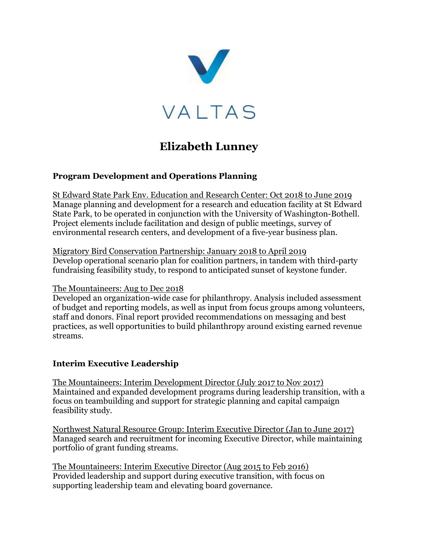

# **Elizabeth Lunney**

#### **Program Development and Operations Planning**

St Edward State Park Env. Education and Research Center: Oct 2018 to June 2019 Manage planning and development for a research and education facility at St Edward State Park, to be operated in conjunction with the University of Washington-Bothell. Project elements include facilitation and design of public meetings, survey of environmental research centers, and development of a five-year business plan.

Migratory Bird Conservation Partnership: January 2018 to April 2019 Develop operational scenario plan for coalition partners, in tandem with third-party fundraising feasibility study, to respond to anticipated sunset of keystone funder.

#### The Mountaineers: Aug to Dec 2018

Developed an organization-wide case for philanthropy. Analysis included assessment of budget and reporting models, as well as input from focus groups among volunteers, staff and donors. Final report provided recommendations on messaging and best practices, as well opportunities to build philanthropy around existing earned revenue streams.

#### **Interim Executive Leadership**

The Mountaineers: Interim Development Director (July 2017 to Nov 2017) Maintained and expanded development programs during leadership transition, with a focus on teambuilding and support for strategic planning and capital campaign feasibility study.

Northwest Natural Resource Group: Interim Executive Director (Jan to June 2017) Managed search and recruitment for incoming Executive Director, while maintaining portfolio of grant funding streams.

The Mountaineers: Interim Executive Director (Aug 2015 to Feb 2016) Provided leadership and support during executive transition, with focus on supporting leadership team and elevating board governance.